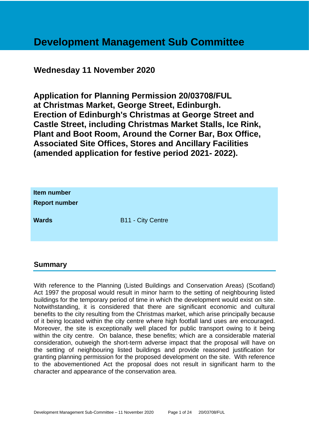## **Development Management Sub Committee**

## **Wednesday 11 November 2020**

**Application for Planning Permission 20/03708/FUL at Christmas Market, George Street, Edinburgh. Erection of Edinburgh's Christmas at George Street and Castle Street, including Christmas Market Stalls, Ice Rink, Plant and Boot Room, Around the Corner Bar, Box Office, Associated Site Offices, Stores and Ancillary Facilities (amended application for festive period 2021- 2022).**

| Item number<br><b>Report number</b> |                          |
|-------------------------------------|--------------------------|
| <b>Wards</b>                        | <b>B11 - City Centre</b> |

#### **Summary**

With reference to the Planning (Listed Buildings and Conservation Areas) (Scotland) Act 1997 the proposal would result in minor harm to the setting of neighbouring listed buildings for the temporary period of time in which the development would exist on site. Notwithstanding, it is considered that there are significant economic and cultural benefits to the city resulting from the Christmas market, which arise principally because of it being located within the city centre where high footfall land uses are encouraged. Moreover, the site is exceptionally well placed for public transport owing to it being within the city centre. On balance, these benefits; which are a considerable material consideration, outweigh the short-term adverse impact that the proposal will have on the setting of neighbouring listed buildings and provide reasoned justification for granting planning permission for the proposed development on the site. With reference to the abovementioned Act the proposal does not result in significant harm to the character and appearance of the conservation area.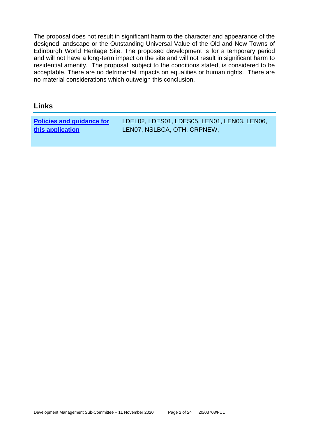The proposal does not result in significant harm to the character and appearance of the designed landscape or the Outstanding Universal Value of the Old and New Towns of Edinburgh World Heritage Site. The proposed development is for a temporary period and will not have a long-term impact on the site and will not result in significant harm to residential amenity. The proposal, subject to the conditions stated, is considered to be acceptable. There are no detrimental impacts on equalities or human rights. There are no material considerations which outweigh this conclusion.

#### **Links**

**[Policies and guidance for](file:///C:/uniform/temp/uf04148.rtf%23Policies)  [this application](file:///C:/uniform/temp/uf04148.rtf%23Policies)**

LDEL02, LDES01, LDES05, LEN01, LEN03, LEN06, LEN07, NSLBCA, OTH, CRPNEW,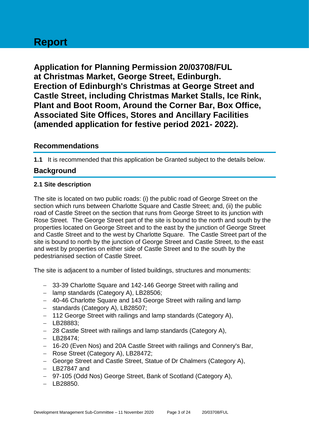# **Report**

**Application for Planning Permission 20/03708/FUL at Christmas Market, George Street, Edinburgh. Erection of Edinburgh's Christmas at George Street and Castle Street, including Christmas Market Stalls, Ice Rink, Plant and Boot Room, Around the Corner Bar, Box Office, Associated Site Offices, Stores and Ancillary Facilities (amended application for festive period 2021- 2022).**

#### **Recommendations**

**1.1** It is recommended that this application be Granted subject to the details below.

## **Background**

#### **2.1 Site description**

The site is located on two public roads: (i) the public road of George Street on the section which runs between Charlotte Square and Castle Street; and, (ii) the public road of Castle Street on the section that runs from George Street to its junction with Rose Street. The George Street part of the site is bound to the north and south by the properties located on George Street and to the east by the junction of George Street and Castle Street and to the west by Charlotte Square. The Castle Street part of the site is bound to north by the junction of George Street and Castle Street, to the east and west by properties on either side of Castle Street and to the south by the pedestrianised section of Castle Street.

The site is adjacent to a number of listed buildings, structures and monuments:

- − 33-39 Charlotte Square and 142-146 George Street with railing and
- − lamp standards (Category A), LB28506;
- − 40-46 Charlotte Square and 143 George Street with railing and lamp
- − standards (Category A), LB28507;
- − 112 George Street with railings and lamp standards (Category A),
- − LB28883;
- − 28 Castle Street with railings and lamp standards (Category A),
- − LB28474;
- − 16-20 (Even Nos) and 20A Castle Street with railings and Connery's Bar,
- − Rose Street (Category A), LB28472;
- − George Street and Castle Street, Statue of Dr Chalmers (Category A),
- − LB27847 and
- − 97-105 (Odd Nos) George Street, Bank of Scotland (Category A),
- − LB28850.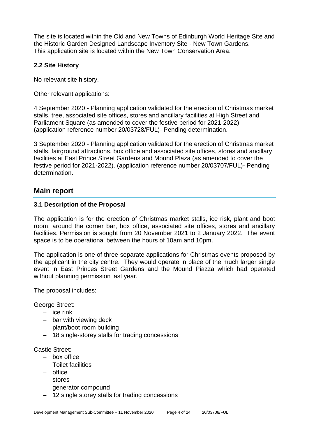The site is located within the Old and New Towns of Edinburgh World Heritage Site and the Historic Garden Designed Landscape Inventory Site - New Town Gardens. This application site is located within the New Town Conservation Area.

#### **2.2 Site History**

No relevant site history.

#### Other relevant applications:

4 September 2020 - Planning application validated for the erection of Christmas market stalls, tree, associated site offices, stores and ancillary facilities at High Street and Parliament Square (as amended to cover the festive period for 2021-2022). (application reference number 20/03728/FUL)- Pending determination.

3 September 2020 - Planning application validated for the erection of Christmas market stalls, fairground attractions, box office and associated site offices, stores and ancillary facilities at East Prince Street Gardens and Mound Plaza (as amended to cover the festive period for 2021-2022). (application reference number 20/03707/FUL)- Pending determination.

#### **Main report**

#### **3.1 Description of the Proposal**

The application is for the erection of Christmas market stalls, ice risk, plant and boot room, around the corner bar, box office, associated site offices, stores and ancillary facilities. Permission is sought from 20 November 2021 to 2 January 2022. The event space is to be operational between the hours of 10am and 10pm.

The application is one of three separate applications for Christmas events proposed by the applicant in the city centre. They would operate in place of the much larger single event in East Princes Street Gardens and the Mound Piazza which had operated without planning permission last year.

The proposal includes:

George Street:

- − ice rink
- − bar with viewing deck
- − plant/boot room building
- − 18 single-storey stalls for trading concessions

Castle Street:

- − box office
- − Toilet facilities
- − office
- − stores
- − generator compound
- − 12 single storey stalls for trading concessions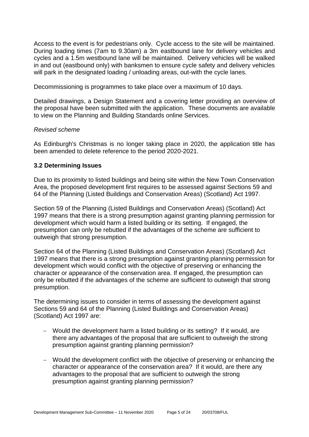Access to the event is for pedestrians only. Cycle access to the site will be maintained. During loading times (7am to 9.30am) a 3m eastbound lane for delivery vehicles and cycles and a 1.5m westbound lane will be maintained. Delivery vehicles will be walked in and out (eastbound only) with banksmen to ensure cycle safety and delivery vehicles will park in the designated loading / unloading areas, out-with the cycle lanes.

Decommissioning is programmes to take place over a maximum of 10 days.

Detailed drawings, a Design Statement and a covering letter providing an overview of the proposal have been submitted with the application. These documents are available to view on the Planning and Building Standards online Services.

#### *Revised scheme*

As Edinburgh's Christmas is no longer taking place in 2020, the application title has been amended to delete reference to the period 2020-2021.

#### **3.2 Determining Issues**

Due to its proximity to listed buildings and being site within the New Town Conservation Area, the proposed development first requires to be assessed against Sections 59 and 64 of the Planning (Listed Buildings and Conservation Areas) (Scotland) Act 1997.

Section 59 of the Planning (Listed Buildings and Conservation Areas) (Scotland) Act 1997 means that there is a strong presumption against granting planning permission for development which would harm a listed building or its setting. If engaged, the presumption can only be rebutted if the advantages of the scheme are sufficient to outweigh that strong presumption.

Section 64 of the Planning (Listed Buildings and Conservation Areas) (Scotland) Act 1997 means that there is a strong presumption against granting planning permission for development which would conflict with the objective of preserving or enhancing the character or appearance of the conservation area. If engaged, the presumption can only be rebutted if the advantages of the scheme are sufficient to outweigh that strong presumption.

The determining issues to consider in terms of assessing the development against Sections 59 and 64 of the Planning (Listed Buildings and Conservation Areas) (Scotland) Act 1997 are:

- − Would the development harm a listed building or its setting? If it would, are there any advantages of the proposal that are sufficient to outweigh the strong presumption against granting planning permission?
- − Would the development conflict with the objective of preserving or enhancing the character or appearance of the conservation area? If it would, are there any advantages to the proposal that are sufficient to outweigh the strong presumption against granting planning permission?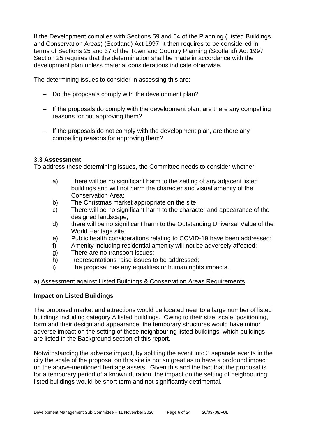If the Development complies with Sections 59 and 64 of the Planning (Listed Buildings and Conservation Areas) (Scotland) Act 1997, it then requires to be considered in terms of Sections 25 and 37 of the Town and Country Planning (Scotland) Act 1997 Section 25 requires that the determination shall be made in accordance with the development plan unless material considerations indicate otherwise.

The determining issues to consider in assessing this are:

- − Do the proposals comply with the development plan?
- − If the proposals do comply with the development plan, are there any compelling reasons for not approving them?
- − If the proposals do not comply with the development plan, are there any compelling reasons for approving them?

#### **3.3 Assessment**

To address these determining issues, the Committee needs to consider whether:

- a) There will be no significant harm to the setting of any adjacent listed buildings and will not harm the character and visual amenity of the Conservation Area;
- b) The Christmas market appropriate on the site;
- c) There will be no significant harm to the character and appearance of the designed landscape;
- d) there will be no significant harm to the Outstanding Universal Value of the World Heritage site;
- e) Public health considerations relating to COVID-19 have been addressed;
- f) Amenity including residential amenity will not be adversely affected;
- g) There are no transport issues;
- h) Representations raise issues to be addressed;
- i) The proposal has any equalities or human rights impacts.

#### a) Assessment against Listed Buildings & Conservation Areas Requirements

#### **Impact on Listed Buildings**

The proposed market and attractions would be located near to a large number of listed buildings including category A listed buildings. Owing to their size, scale, positioning, form and their design and appearance, the temporary structures would have minor adverse impact on the setting of these neighbouring listed buildings, which buildings are listed in the Background section of this report.

Notwithstanding the adverse impact, by splitting the event into 3 separate events in the city the scale of the proposal on this site is not so great as to have a profound impact on the above-mentioned heritage assets. Given this and the fact that the proposal is for a temporary period of a known duration, the impact on the setting of neighbouring listed buildings would be short term and not significantly detrimental.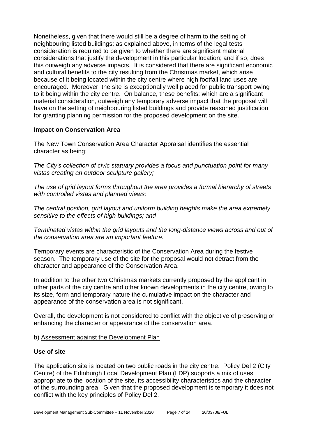Nonetheless, given that there would still be a degree of harm to the setting of neighbouring listed buildings; as explained above, in terms of the legal tests consideration is required to be given to whether there are significant material considerations that justify the development in this particular location; and if so, does this outweigh any adverse impacts. It is considered that there are significant economic and cultural benefits to the city resulting from the Christmas market, which arise because of it being located within the city centre where high footfall land uses are encouraged. Moreover, the site is exceptionally well placed for public transport owing to it being within the city centre. On balance, these benefits; which are a significant material consideration, outweigh any temporary adverse impact that the proposal will have on the setting of neighbouring listed buildings and provide reasoned justification for granting planning permission for the proposed development on the site.

#### **Impact on Conservation Area**

The New Town Conservation Area Character Appraisal identifies the essential character as being:

*The City's collection of civic statuary provides a focus and punctuation point for many vistas creating an outdoor sculpture gallery;*

*The use of grid layout forms throughout the area provides a formal hierarchy of streets with controlled vistas and planned views;*

*The central position, grid layout and uniform building heights make the area extremely sensitive to the effects of high buildings; and* 

*Terminated vistas within the grid layouts and the long-distance views across and out of the conservation area are an important feature.*

Temporary events are characteristic of the Conservation Area during the festive season. The temporary use of the site for the proposal would not detract from the character and appearance of the Conservation Area.

In addition to the other two Christmas markets currently proposed by the applicant in other parts of the city centre and other known developments in the city centre, owing to its size, form and temporary nature the cumulative impact on the character and appearance of the conservation area is not significant.

Overall, the development is not considered to conflict with the objective of preserving or enhancing the character or appearance of the conservation area.

#### b) Assessment against the Development Plan

#### **Use of site**

The application site is located on two public roads in the city centre. Policy Del 2 (City Centre) of the Edinburgh Local Development Plan (LDP) supports a mix of uses appropriate to the location of the site, its accessibility characteristics and the character of the surrounding area. Given that the proposed development is temporary it does not conflict with the key principles of Policy Del 2.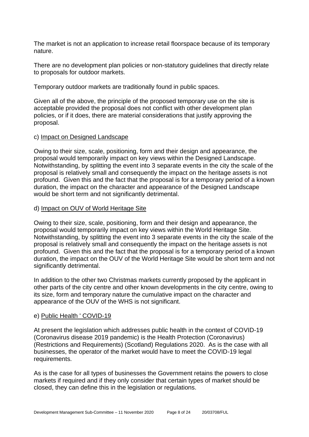The market is not an application to increase retail floorspace because of its temporary nature.

There are no development plan policies or non-statutory guidelines that directly relate to proposals for outdoor markets.

Temporary outdoor markets are traditionally found in public spaces.

Given all of the above, the principle of the proposed temporary use on the site is acceptable provided the proposal does not conflict with other development plan policies, or if it does, there are material considerations that justify approving the proposal.

#### c) Impact on Designed Landscape

Owing to their size, scale, positioning, form and their design and appearance, the proposal would temporarily impact on key views within the Designed Landscape. Notwithstanding, by splitting the event into 3 separate events in the city the scale of the proposal is relatively small and consequently the impact on the heritage assets is not profound. Given this and the fact that the proposal is for a temporary period of a known duration, the impact on the character and appearance of the Designed Landscape would be short term and not significantly detrimental.

#### d) Impact on OUV of World Heritage Site

Owing to their size, scale, positioning, form and their design and appearance, the proposal would temporarily impact on key views within the World Heritage Site. Notwithstanding, by splitting the event into 3 separate events in the city the scale of the proposal is relatively small and consequently the impact on the heritage assets is not profound. Given this and the fact that the proposal is for a temporary period of a known duration, the impact on the OUV of the World Heritage Site would be short term and not significantly detrimental.

In addition to the other two Christmas markets currently proposed by the applicant in other parts of the city centre and other known developments in the city centre, owing to its size, form and temporary nature the cumulative impact on the character and appearance of the OUV of the WHS is not significant.

#### e) Public Health ' COVID-19

At present the legislation which addresses public health in the context of COVID-19 (Coronavirus disease 2019 pandemic) is the Health Protection (Coronavirus) (Restrictions and Requirements) (Scotland) Regulations 2020. As is the case with all businesses, the operator of the market would have to meet the COVID-19 legal requirements.

As is the case for all types of businesses the Government retains the powers to close markets if required and if they only consider that certain types of market should be closed, they can define this in the legislation or regulations.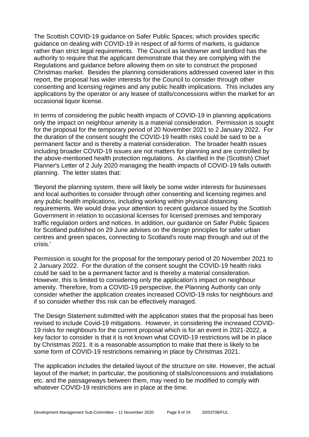The Scottish COVID-19 guidance on Safer Public Spaces; which provides specific guidance on dealing with COVID-19 in respect of all forms of markets, is guidance rather than strict legal requirements. The Council as landowner and landlord has the authority to require that the applicant demonstrate that they are complying with the Regulations and guidance before allowing them on site to construct the proposed Christmas market. Besides the planning considerations addressed covered later in this report, the proposal has wider interests for the Council to consider through other consenting and licensing regimes and any public health implications. This includes any applications by the operator or any leasee of stalls/concessions within the market for an occasional liquor license.

In terms of considering the public health impacts of COVID-19 in planning applications only the impact on neighbour amenity is a material consideration. Permission is sought for the proposal for the temporary period of 20 November 2021 to 2 January 2022. For the duration of the consent sought the COVID-19 health risks could be said to be a permanent factor and is thereby a material consideration. The broader health issues including broader COVID-19 issues are not matters for planning and are controlled by the above-mentioned health protection regulations. As clarified in the (Scottish) Chief Planner's Letter of 2 July 2020 managing the health impacts of COVID-19 falls outwith planning. The letter states that:

'Beyond the planning system, there will likely be some wider interests for businesses and local authorities to consider through other consenting and licensing regimes and any public health implications, including working within physical distancing requirements. We would draw your attention to recent guidance issued by the Scottish Government in relation to occasional licenses for licensed premises and temporary traffic regulation orders and notices. In addition, our guidance on Safer Public Spaces for Scotland published on 29 June advises on the design principles for safer urban centres and green spaces, connecting to Scotland's route map through and out of the crisis.'

Permission is sought for the proposal for the temporary period of 20 November 2021 to 2 January 2022. For the duration of the consent sought the COVID-19 health risks could be said to be a permanent factor and is thereby a material consideration. However, this is limited to considering only the application's impact on neighbour amenity. Therefore, from a COVID-19 perspective, the Planning Authority can only consider whether the application creates increased COVID-19 risks for neighbours and if so consider whether this risk can be effectively managed.

The Design Statement submitted with the application states that the proposal has been revised to include Covid-19 mitigations. However, in considering the increased COVID-19 risks for neighbours for the current proposal which is for an event in 2021-2022, a key factor to consider is that it is not known what COVID-19 restrictions will be in place by Christmas 2021. It is a reasonable assumption to make that there is likely to be some form of COVID-19 restrictions remaining in place by Christmas 2021.

The application includes the detailed layout of the structure on site. However, the actual layout of the market; in particular, the positioning of stalls/concessions and installations etc. and the passageways between them, may need to be modified to comply with whatever COVID-19 restrictions are in place at the time.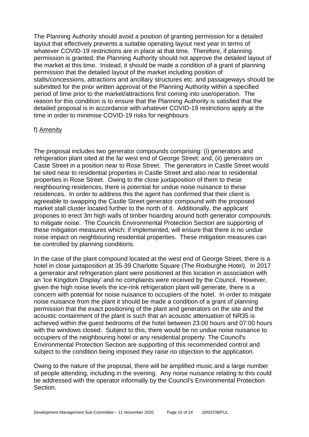The Planning Authority should avoid a position of granting permission for a detailed layout that effectively prevents a suitable operating layout next year in terms of whatever COVID-19 restrictions are in place at that time. Therefore, if planning permission is granted, the Planning Authority should not approve the detailed layout of the market at this time. Instead, it should be made a condition of a grant of planning permission that the detailed layout of the market including position of stalls/concessions, attractions and ancillary structures etc. and passageways should be submitted for the prior written approval of the Planning Authority within a specified period of time prior to the market/attractions first coming into use/operation. The reason for this condition is to ensure that the Planning Authority is satisfied that the detailed proposal is in accordance with whatever COVID-19 restrictions apply at the time in order to minimise COVID-19 risks for neighbours.

#### f) Amenity

The proposal includes two generator compounds comprising: (i) generators and refrigeration plant sited at the far west end of George Street; and, (ii) generators on Caste Street in a position near to Rose Street. The generators in Castle Street would be sited near to residential properties in Castle Street and also near to residential properties in Rose Street. Owing to the close juxtaposition of them to these neighbouring residences, there is potential for undue noise nuisance to these residences. In order to address this the agent has confirmed that their client is agreeable to swapping the Castle Street generator compound with the proposed market stall cluster located further to the north of it. Additionally, the applicant proposes to erect 3m high walls of timber hoarding around both generator compounds to mitigate noise. The Councils Environmental Protection Section are supporting of these mitigation measures which; if implemented, will ensure that there is no undue noise impact on neighbouring residential properties. These mitigation measures can be controlled by planning conditions.

In the case of the plant compound located at the west end of George Street, there is a hotel in close juxtaposition at 35-39 Charlotte Square (The Roxburghe Hotel). In 2017 a generator and refrigeration plant were positioned at this location in association with an 'Ice Kingdom Display' and no complaints were received by the Council. However, given the high noise levels the ice-rink refrigeration plant will generate, there is a concern with potential for noise nuisance to occupiers of the hotel. In order to mitigate noise nuisance from the plant it should be made a condition of a grant of planning permission that the exact positioning of the plant and generators on the site and the acoustic containment of the plant is such that an acoustic attenuation of NR35 is achieved within the guest bedrooms of the hotel between 23:00 hours and 07:00 hours with the windows closed. Subject to this, there would be no undue noise nuisance to occupiers of the neighbouring hotel or any residential property. The Council's Environmental Protection Section are supporting of this recommended control and subject to the condition being imposed they raise no objection to the application.

Owing to the nature of the proposal, there will be amplified music and a large number of people attending, including in the evening. Any noise nuisance relating to this could be addressed with the operator informally by the Council's Environmental Protection Section.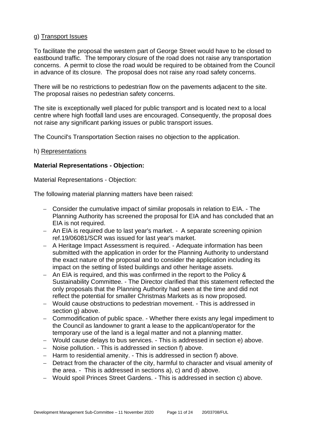#### g) Transport Issues

To facilitate the proposal the western part of George Street would have to be closed to eastbound traffic. The temporary closure of the road does not raise any transportation concerns. A permit to close the road would be required to be obtained from the Council in advance of its closure. The proposal does not raise any road safety concerns.

There will be no restrictions to pedestrian flow on the pavements adjacent to the site. The proposal raises no pedestrian safety concerns.

The site is exceptionally well placed for public transport and is located next to a local centre where high footfall land uses are encouraged. Consequently, the proposal does not raise any significant parking issues or public transport issues.

The Council's Transportation Section raises no objection to the application.

#### h) Representations

#### **Material Representations - Objection:**

Material Representations - Objection:

The following material planning matters have been raised:

- − Consider the cumulative impact of similar proposals in relation to EIA. The Planning Authority has screened the proposal for EIA and has concluded that an EIA is not required.
- − An EIA is required due to last year's market. A separate screening opinion ref.19/06081/SCR was issued for last year's market.
- − A Heritage Impact Assessment is required. Adequate information has been submitted with the application in order for the Planning Authority to understand the exact nature of the proposal and to consider the application including its impact on the setting of listed buildings and other heritage assets.
- − An EIA is required, and this was confirmed in the report to the Policy & Sustainability Committee. - The Director clarified that this statement reflected the only proposals that the Planning Authority had seen at the time and did not reflect the potential for smaller Christmas Markets as is now proposed.
- − Would cause obstructions to pedestrian movement. This is addressed in section g) above.
- − Commodification of public space. Whether there exists any legal impediment to the Council as landowner to grant a lease to the applicant/operator for the temporary use of the land is a legal matter and not a planning matter.
- − Would cause delays to bus services. This is addressed in section e) above.
- − Noise pollution. This is addressed in section f) above.
- − Harm to residential amenity. This is addressed in section f) above.
- − Detract from the character of the city, harmful to character and visual amenity of the area. - This is addressed in sections a), c) and d) above.
- − Would spoil Princes Street Gardens. This is addressed in section c) above.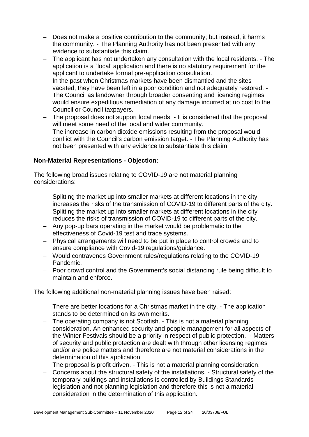- − Does not make a positive contribution to the community; but instead, it harms the community. - The Planning Authority has not been presented with any evidence to substantiate this claim.
- − The applicant has not undertaken any consultation with the local residents. The application is a `local' application and there is no statutory requirement for the applicant to undertake formal pre-application consultation.
- − In the past when Christmas markets have been dismantled and the sites vacated, they have been left in a poor condition and not adequately restored. - The Council as landowner through broader consenting and licencing regimes would ensure expeditious remediation of any damage incurred at no cost to the Council or Council taxpayers.
- − The proposal does not support local needs. It is considered that the proposal will meet some need of the local and wider community.
- − The increase in carbon dioxide emissions resulting from the proposal would conflict with the Council's carbon emission target. - The Planning Authority has not been presented with any evidence to substantiate this claim.

#### **Non-Material Representations - Objection:**

The following broad issues relating to COVID-19 are not material planning considerations:

- − Splitting the market up into smaller markets at different locations in the city increases the risks of the transmission of COVID-19 to different parts of the city.
- − Splitting the market up into smaller markets at different locations in the city reduces the risks of transmission of COVID-19 to different parts of the city.
- − Any pop-up bars operating in the market would be problematic to the effectiveness of Covid-19 test and trace systems.
- − Physical arrangements will need to be put in place to control crowds and to ensure compliance with Covid-19 regulations/guidance.
- − Would contravenes Government rules/regulations relating to the COVID-19 Pandemic.
- − Poor crowd control and the Government's social distancing rule being difficult to maintain and enforce.

The following additional non-material planning issues have been raised:

- − There are better locations for a Christmas market in the city. The application stands to be determined on its own merits.
- − The operating company is not Scottish. This is not a material planning consideration. An enhanced security and people management for all aspects of the Winter Festivals should be a priority in respect of public protection. - Matters of security and public protection are dealt with through other licensing regimes and/or are police matters and therefore are not material considerations in the determination of this application.
- − The proposal is profit driven. This is not a material planning consideration.
- − Concerns about the structural safety of the installations. Structural safety of the temporary buildings and installations is controlled by Buildings Standards legislation and not planning legislation and therefore this is not a material consideration in the determination of this application.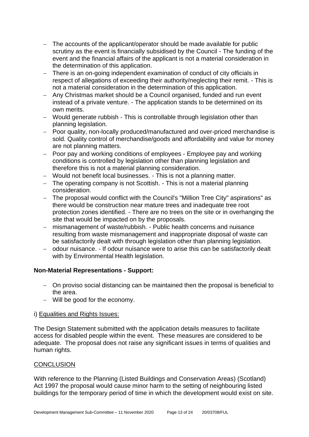- − The accounts of the applicant/operator should be made available for public scrutiny as the event is financially subsidised by the Council - The funding of the event and the financial affairs of the applicant is not a material consideration in the determination of this application.
- − There is an on-going independent examination of conduct of city officials in respect of allegations of exceeding their authority/neglecting their remit. - This is not a material consideration in the determination of this application.
- − Any Christmas market should be a Council organised, funded and run event instead of a private venture. - The application stands to be determined on its own merits.
- − Would generate rubbish This is controllable through legislation other than planning legislation.
- − Poor quality, non-locally produced/manufactured and over-priced merchandise is sold. Quality control of merchandise/goods and affordability and value for money are not planning matters.
- − Poor pay and working conditions of employees Employee pay and working conditions is controlled by legislation other than planning legislation and therefore this is not a material planning consideration.
- − Would not benefit local businesses. This is not a planning matter.
- − The operating company is not Scottish. This is not a material planning consideration.
- − The proposal would conflict with the Council's "Million Tree City" aspirations" as there would be construction near mature trees and inadequate tree root protection zones identified. - There are no trees on the site or in overhanging the site that would be impacted on by the proposals.
- − mismanagement of waste/rubbish. Public health concerns and nuisance resulting from waste mismanagement and inappropriate disposal of waste can be satisfactorily dealt with through legislation other than planning legislation.
- − odour nuisance. If odour nuisance were to arise this can be satisfactorily dealt with by Environmental Health legislation.

#### **Non-Material Representations - Support:**

- − On proviso social distancing can be maintained then the proposal is beneficial to the area.
- − Will be good for the economy.

#### i) Equalities and Rights Issues:

The Design Statement submitted with the application details measures to facilitate access for disabled people within the event. These measures are considered to be adequate. The proposal does not raise any significant issues in terms of qualities and human rights.

#### **CONCLUSION**

With reference to the Planning (Listed Buildings and Conservation Areas) (Scotland) Act 1997 the proposal would cause minor harm to the setting of neighbouring listed buildings for the temporary period of time in which the development would exist on site.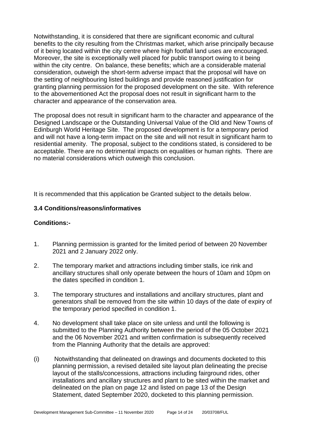Notwithstanding, it is considered that there are significant economic and cultural benefits to the city resulting from the Christmas market, which arise principally because of it being located within the city centre where high footfall land uses are encouraged. Moreover, the site is exceptionally well placed for public transport owing to it being within the city centre. On balance, these benefits; which are a considerable material consideration, outweigh the short-term adverse impact that the proposal will have on the setting of neighbouring listed buildings and provide reasoned justification for granting planning permission for the proposed development on the site. With reference to the abovementioned Act the proposal does not result in significant harm to the character and appearance of the conservation area.

The proposal does not result in significant harm to the character and appearance of the Designed Landscape or the Outstanding Universal Value of the Old and New Towns of Edinburgh World Heritage Site. The proposed development is for a temporary period and will not have a long-term impact on the site and will not result in significant harm to residential amenity. The proposal, subject to the conditions stated, is considered to be acceptable. There are no detrimental impacts on equalities or human rights. There are no material considerations which outweigh this conclusion.

It is recommended that this application be Granted subject to the details below.

#### **3.4 Conditions/reasons/informatives**

#### **Conditions:-**

- 1. Planning permission is granted for the limited period of between 20 November 2021 and 2 January 2022 only.
- 2. The temporary market and attractions including timber stalls, ice rink and ancillary structures shall only operate between the hours of 10am and 10pm on the dates specified in condition 1.
- 3. The temporary structures and installations and ancillary structures, plant and generators shall be removed from the site within 10 days of the date of expiry of the temporary period specified in condition 1.
- 4. No development shall take place on site unless and until the following is submitted to the Planning Authority between the period of the 05 October 2021 and the 06 November 2021 and written confirmation is subsequently received from the Planning Authority that the details are approved:
- (i) Notwithstanding that delineated on drawings and documents docketed to this planning permission, a revised detailed site layout plan delineating the precise layout of the stalls/concessions, attractions including fairground rides, other installations and ancillary structures and plant to be sited within the market and delineated on the plan on page 12 and listed on page 13 of the Design Statement, dated September 2020, docketed to this planning permission.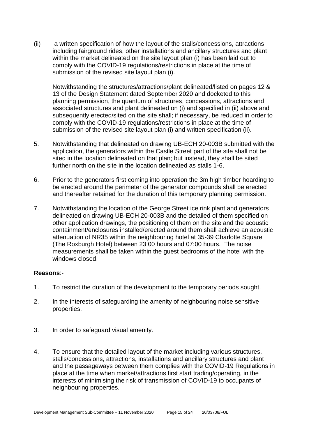(ii) a written specification of how the layout of the stalls/concessions, attractions including fairground rides, other installations and ancillary structures and plant within the market delineated on the site layout plan (i) has been laid out to comply with the COVID-19 regulations/restrictions in place at the time of submission of the revised site layout plan (i).

Notwithstanding the structures/attractions/plant delineated/listed on pages 12 & 13 of the Design Statement dated September 2020 and docketed to this planning permission, the quantum of structures, concessions, attractions and associated structures and plant delineated on (i) and specified in (ii) above and subsequently erected/sited on the site shall; if necessary, be reduced in order to comply with the COVID-19 regulations/restrictions in place at the time of submission of the revised site layout plan (i) and written specification (ii).

- 5. Notwithstanding that delineated on drawing UB-ECH 20-003B submitted with the application, the generators within the Castle Street part of the site shall not be sited in the location delineated on that plan; but instead, they shall be sited further north on the site in the location delineated as stalls 1-6.
- 6. Prior to the generators first coming into operation the 3m high timber hoarding to be erected around the perimeter of the generator compounds shall be erected and thereafter retained for the duration of this temporary planning permission.
- 7. Notwithstanding the location of the George Street ice rink plant and generators delineated on drawing UB-ECH 20-003B and the detailed of them specified on other application drawings, the positioning of them on the site and the acoustic containment/enclosures installed/erected around them shall achieve an acoustic attenuation of NR35 within the neighbouring hotel at 35-39 Charlotte Square (The Roxburgh Hotel) between 23:00 hours and 07:00 hours. The noise measurements shall be taken within the guest bedrooms of the hotel with the windows closed.

#### **Reasons**:-

- 1. To restrict the duration of the development to the temporary periods sought.
- 2. In the interests of safeguarding the amenity of neighbouring noise sensitive properties.
- 3. In order to safeguard visual amenity.
- 4. To ensure that the detailed layout of the market including various structures, stalls/concessions, attractions, installations and ancillary structures and plant and the passageways between them complies with the COVID-19 Regulations in place at the time when market/attractions first start trading/operating, in the interests of minimising the risk of transmission of COVID-19 to occupants of neighbouring properties.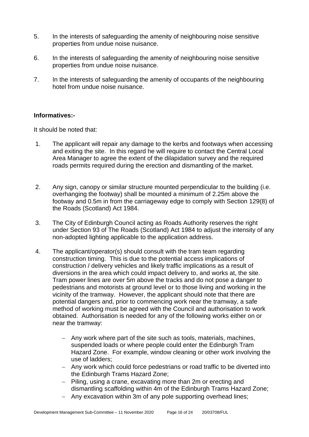- 5. In the interests of safeguarding the amenity of neighbouring noise sensitive properties from undue noise nuisance.
- 6. In the interests of safeguarding the amenity of neighbouring noise sensitive properties from undue noise nuisance.
- 7. In the interests of safeguarding the amenity of occupants of the neighbouring hotel from undue noise nuisance.

#### **Informatives:-**

It should be noted that:

- 1. The applicant will repair any damage to the kerbs and footways when accessing and exiting the site. In this regard he will require to contact the Central Local Area Manager to agree the extent of the dilapidation survey and the required roads permits required during the erection and dismantling of the market.
- 2. Any sign, canopy or similar structure mounted perpendicular to the building (i.e. overhanging the footway) shall be mounted a minimum of 2.25m above the footway and 0.5m in from the carriageway edge to comply with Section 129(8) of the Roads (Scotland) Act 1984.
- 3. The City of Edinburgh Council acting as Roads Authority reserves the right under Section 93 of The Roads (Scotland) Act 1984 to adjust the intensity of any non-adopted lighting applicable to the application address.
- 4. The applicant/operator(s) should consult with the tram team regarding construction timing. This is due to the potential access implications of construction / delivery vehicles and likely traffic implications as a result of diversions in the area which could impact delivery to, and works at, the site. Tram power lines are over 5m above the tracks and do not pose a danger to pedestrians and motorists at ground level or to those living and working in the vicinity of the tramway. However, the applicant should note that there are potential dangers and, prior to commencing work near the tramway, a safe method of working must be agreed with the Council and authorisation to work obtained. Authorisation is needed for any of the following works either on or near the tramway:
	- − Any work where part of the site such as tools, materials, machines, suspended loads or where people could enter the Edinburgh Tram Hazard Zone. For example, window cleaning or other work involving the use of ladders;
	- − Any work which could force pedestrians or road traffic to be diverted into the Edinburgh Trams Hazard Zone;
	- − Piling, using a crane, excavating more than 2m or erecting and dismantling scaffolding within 4m of the Edinburgh Trams Hazard Zone;
	- − Any excavation within 3m of any pole supporting overhead lines;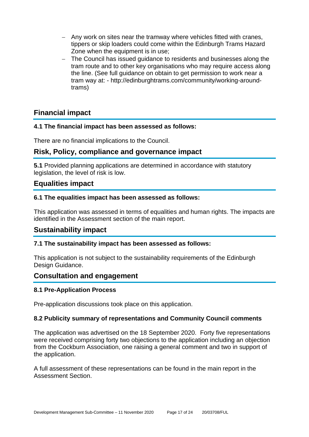- − Any work on sites near the tramway where vehicles fitted with cranes, tippers or skip loaders could come within the Edinburgh Trams Hazard Zone when the equipment is in use;
- − The Council has issued guidance to residents and businesses along the tram route and to other key organisations who may require access along the line. (See full guidance on obtain to get permission to work near a tram way at: - http://edinburghtrams.com/community/working-aroundtrams)

## **Financial impact**

#### **4.1 The financial impact has been assessed as follows:**

There are no financial implications to the Council.

## **Risk, Policy, compliance and governance impact**

**5.1** Provided planning applications are determined in accordance with statutory legislation, the level of risk is low.

#### **Equalities impact**

#### **6.1 The equalities impact has been assessed as follows:**

This application was assessed in terms of equalities and human rights. The impacts are identified in the Assessment section of the main report.

## **Sustainability impact**

#### **7.1 The sustainability impact has been assessed as follows:**

This application is not subject to the sustainability requirements of the Edinburgh Design Guidance.

#### **Consultation and engagement**

#### **8.1 Pre-Application Process**

Pre-application discussions took place on this application.

#### **8.2 Publicity summary of representations and Community Council comments**

The application was advertised on the 18 September 2020. Forty five representations were received comprising forty two objections to the application including an objection from the Cockburn Association, one raising a general comment and two in support of the application.

A full assessment of these representations can be found in the main report in the Assessment Section.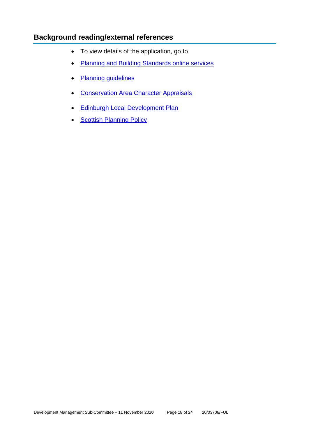## **Background reading/external references**

- To view details of the application, go to
- [Planning and Building Standards online services](https://citydev-portal.edinburgh.gov.uk/idoxpa-web/search.do?action=simple&searchType=Application)
- [Planning guidelines](http://www.edinburgh.gov.uk/planningguidelines)
- [Conservation Area Character Appraisals](http://www.edinburgh.gov.uk/characterappraisals)
- [Edinburgh Local Development Plan](http://www.edinburgh.gov.uk/localdevelopmentplan)
- **[Scottish Planning Policy](http://www.scotland.gov.uk/Topics/Built-Environment/planning/Policy)**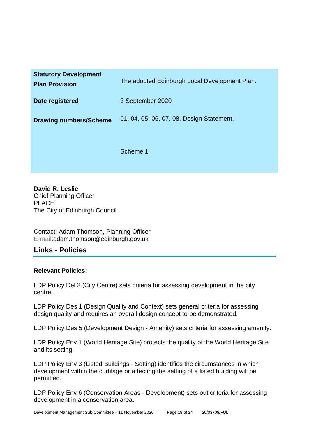| <b>Statutory Development</b><br><b>Plan Provision</b> | The adopted Edinburgh Local Development Plan. |
|-------------------------------------------------------|-----------------------------------------------|
| Date registered                                       | 3 September 2020                              |
| <b>Drawing numbers/Scheme</b>                         | 01, 04, 05, 06, 07, 08, Design Statement,     |
|                                                       | Scheme 1                                      |

**David R. Leslie** Chief Planning Officer PLACE The City of Edinburgh Council

Contact: Adam Thomson, Planning Officer E-mail:adam.thomson@edinburgh.gov.uk

## **Links - Policies**

#### **Relevant Policies:**

LDP Policy Del 2 (City Centre) sets criteria for assessing development in the city centre.

LDP Policy Des 1 (Design Quality and Context) sets general criteria for assessing design quality and requires an overall design concept to be demonstrated.

LDP Policy Des 5 (Development Design - Amenity) sets criteria for assessing amenity.

LDP Policy Env 1 (World Heritage Site) protects the quality of the World Heritage Site and its setting.

LDP Policy Env 3 (Listed Buildings - Setting) identifies the circumstances in which development within the curtilage or affecting the setting of a listed building will be permitted.

LDP Policy Env 6 (Conservation Areas - Development) sets out criteria for assessing development in a conservation area.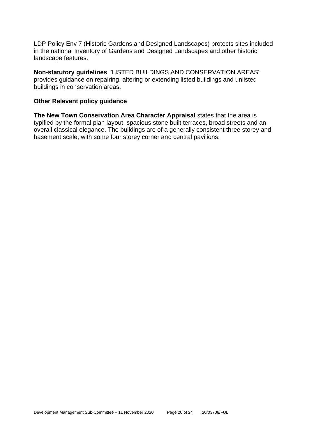LDP Policy Env 7 (Historic Gardens and Designed Landscapes) protects sites included in the national Inventory of Gardens and Designed Landscapes and other historic landscape features.

**Non-statutory guidelines** 'LISTED BUILDINGS AND CONSERVATION AREAS' provides guidance on repairing, altering or extending listed buildings and unlisted buildings in conservation areas.

#### **Other Relevant policy guidance**

**The New Town Conservation Area Character Appraisal** states that the area is typified by the formal plan layout, spacious stone built terraces, broad streets and an overall classical elegance. The buildings are of a generally consistent three storey and basement scale, with some four storey corner and central pavilions.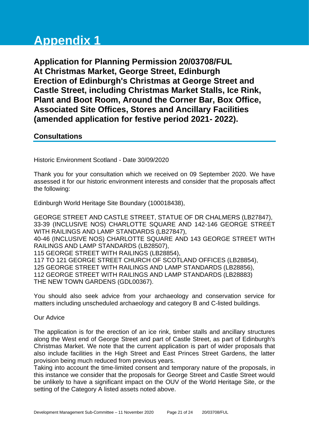# **Appendix 1**

**Application for Planning Permission 20/03708/FUL At Christmas Market, George Street, Edinburgh Erection of Edinburgh's Christmas at George Street and Castle Street, including Christmas Market Stalls, Ice Rink, Plant and Boot Room, Around the Corner Bar, Box Office, Associated Site Offices, Stores and Ancillary Facilities (amended application for festive period 2021- 2022).**

#### **Consultations**

Historic Environment Scotland - Date 30/09/2020

Thank you for your consultation which we received on 09 September 2020. We have assessed it for our historic environment interests and consider that the proposals affect the following:

Edinburgh World Heritage Site Boundary (100018438),

GEORGE STREET AND CASTLE STREET, STATUE OF DR CHALMERS (LB27847), 33-39 (INCLUSIVE NOS) CHARLOTTE SQUARE AND 142-146 GEORGE STREET WITH RAILINGS AND LAMP STANDARDS (LB27847), 40-46 (INCLUSIVE NOS) CHARLOTTE SQUARE AND 143 GEORGE STREET WITH RAILINGS AND LAMP STANDARDS (LB28507), 115 GEORGE STREET WITH RAILINGS (LB28854), 117 TO 121 GEORGE STREET CHURCH OF SCOTLAND OFFICES (LB28854), 125 GEORGE STREET WITH RAILINGS AND LAMP STANDARDS (LB28856), 112 GEORGE STREET WITH RAILINGS AND LAMP STANDARDS (LB28883) THE NEW TOWN GARDENS (GDL00367).

You should also seek advice from your archaeology and conservation service for matters including unscheduled archaeology and category B and C-listed buildings.

Our Advice

The application is for the erection of an ice rink, timber stalls and ancillary structures along the West end of George Street and part of Castle Street, as part of Edinburgh's Christmas Market. We note that the current application is part of wider proposals that also include facilities in the High Street and East Princes Street Gardens, the latter provision being much reduced from previous years.

Taking into account the time-limited consent and temporary nature of the proposals, in this instance we consider that the proposals for George Street and Castle Street would be unlikely to have a significant impact on the OUV of the World Heritage Site, or the setting of the Category A listed assets noted above.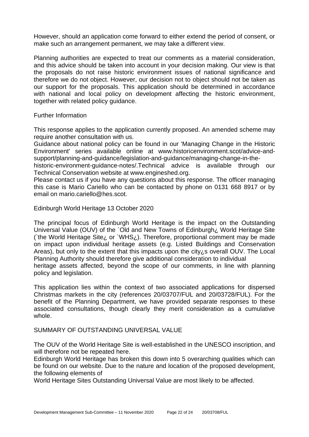However, should an application come forward to either extend the period of consent, or make such an arrangement permanent, we may take a different view.

Planning authorities are expected to treat our comments as a material consideration, and this advice should be taken into account in your decision making. Our view is that the proposals do not raise historic environment issues of national significance and therefore we do not object. However, our decision not to object should not be taken as our support for the proposals. This application should be determined in accordance with national and local policy on development affecting the historic environment, together with related policy guidance.

Further Information

This response applies to the application currently proposed. An amended scheme may require another consultation with us.

Guidance about national policy can be found in our 'Managing Change in the Historic Environment' series available online at www.historicenvironment.scot/advice-andsupport/planning-and-guidance/legislation-and-guidance/managing-change-in-the-

historic-environment-guidance-notes/.Technical advice is available through our Technical Conservation website at www.engineshed.org.

Please contact us if you have any questions about this response. The officer managing this case is Mario Cariello who can be contacted by phone on 0131 668 8917 or by email on mario.cariello@hes.scot.

Edinburgh World Heritage 13 October 2020

The principal focus of Edinburgh World Heritage is the impact on the Outstanding Universal Value (OUV) of the `Old and New Towns of Edinburgh¿ World Heritage Site (`the World Heritage Site¿ or `WHS¿). Therefore, proportional comment may be made on impact upon individual heritage assets (e.g. Listed Buildings and Conservation Areas), but only to the extent that this impacts upon the city $i$  s overall OUV. The Local Planning Authority should therefore give additional consideration to individual heritage assets affected, beyond the scope of our comments, in line with planning policy and legislation.

This application lies within the context of two associated applications for dispersed Christmas markets in the city (references 20/03707/FUL and 20/03728/FUL). For the benefit of the Planning Department, we have provided separate responses to these associated consultations, though clearly they merit consideration as a cumulative whole.

#### SUMMARY OF OUTSTANDING UNIVERSAL VALUE

The OUV of the World Heritage Site is well-established in the UNESCO inscription, and will therefore not be repeated here.

Edinburgh World Heritage has broken this down into 5 overarching qualities which can be found on our website. Due to the nature and location of the proposed development, the following elements of

World Heritage Sites Outstanding Universal Value are most likely to be affected.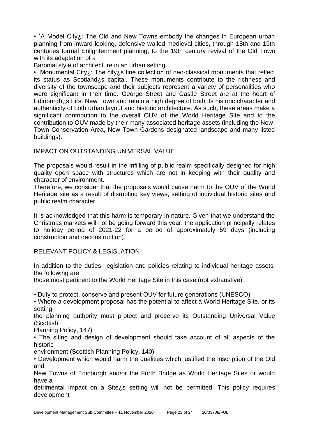• `A Model City<sub>i</sub>: The Old and New Towns embody the changes in European urban planning from inward looking, defensive walled medieval cities, through 18th and 19th centuries formal Enlightenment planning, to the 19th century revival of the Old Town with its adaptation of a

Baronial style of architecture in an urban setting.

• `Monumental City¿: The city¿s fine collection of neo-classical monuments that reflect its status as Scotland¿s capital. These monuments contribute to the richness and diversity of the townscape and their subjects represent a variety of personalities who were significant in their time. George Street and Castle Street are at the heart of Edinburgh¿s First New Town and retain a high degree of both its historic character and authenticity of both urban layout and historic architecture. As such, these areas make a significant contribution to the overall OUV of the World Heritage Site and to the contribution to OUV made by their many associated heritage assets (including the New Town Conservation Area, New Town Gardens designated landscape and many listed buildings).

IMPACT ON OUTSTANDING UNIVERSAL VALUE

The proposals would result in the infilling of public realm specifically designed for high quality open space with structures which are not in keeping with their quality and character of environment.

Therefore, we consider that the proposals would cause harm to the OUV of the World Heritage site as a result of disrupting key views, setting of individual historic sites and public realm character.

It is acknowledged that this harm is temporary in nature. Given that we understand the Christmas markets will not be going forward this year, the application principally relates to holiday period of 2021-22 for a period of approximately 59 days (including construction and deconstruction).

#### RELEVANT POLICY & LEGISLATION

In addition to the duties, legislation and policies relating to individual heritage assets, the following are

those most pertinent to the World Heritage Site in this case (not exhaustive):

• Duty to protect, conserve and present OUV for future generations (UNESCO)

• Where a development proposal has the potential to affect a World Heritage Site, or its setting,

the planning authority must protect and preserve its Outstanding Universal Value (Scottish

Planning Policy, 147)

• The siting and design of development should take account of all aspects of the historic

environment (Scottish Planning Policy, 140)

• Development which would harm the qualities which justified the inscription of the Old and

New Towns of Edinburgh and/or the Forth Bridge as World Heritage Sites or would have a

detrimental impact on a Site¿s setting will not be permitted. This policy requires development